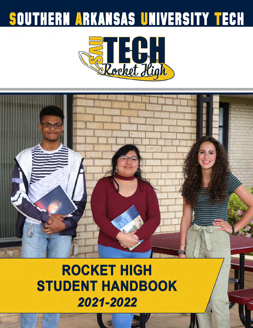# SOUTHERN ARKANSAS UNIVERSITY TECH





## **ROCKET HIGH STUDENT HANDBOOK** 2021-2022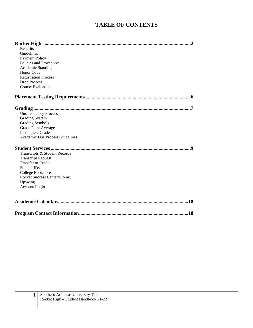#### **TABLE OF CONTENTS**

| <b>Benefits</b><br>Guidelines<br><b>Payment Policy</b><br>Policies and Procedures<br>Academic Standing<br>Honor Code<br><b>Registration Process</b><br><b>Drop Process</b><br><b>Course Evaluations</b> |  |
|---------------------------------------------------------------------------------------------------------------------------------------------------------------------------------------------------------|--|
|                                                                                                                                                                                                         |  |
| <b>Unsatisfactory Process</b><br><b>Grading System</b><br><b>Grading Symbols</b><br>Grade Point Average<br><b>Incomplete Grades</b><br>Academic Due Process Guidelines                                  |  |
| Transcripts & Student Records<br><b>Transcript Request</b><br><b>Transfer of Credit</b><br><b>Student IDs</b><br>College Bookstore<br>Rocket Success Center/Library<br>Upswing<br>Account Login         |  |
|                                                                                                                                                                                                         |  |
| .18                                                                                                                                                                                                     |  |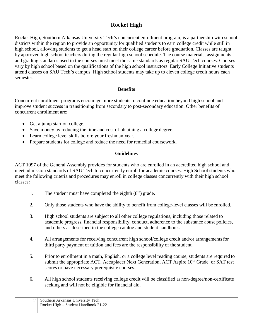#### **Rocket High**

Rocket High, Southern Arkansas University Tech's concurrent enrollment program, is a partnership with school districts within the region to provide an opportunity for qualified students to earn college credit while still in high school, allowing students to get a head start on their college career before graduation. Classes are taught by approved high school teachers during the regular high school schedule. The course materials, assignments and grading standards used in the courses must meet the same standards as regular SAU Tech courses. Courses vary by high school based on the qualifications of the high school instructors. Early College Initiative students attend classes on SAU Tech's campus. High school students may take up to eleven college credit hours each semester.

#### **Benefits**

Concurrent enrollment programs encourage more students to continue education beyond high school and improve student success in transitioning from secondary to post-secondary education. Other benefits of concurrent enrollment are:

- Get a jump start on college.
- Save money by reducing the time and cost of obtaining a college degree.
- Learn college level skills before your freshman year.
- Prepare students for college and reduce the need for remedial coursework.

#### **Guidelines**

ACT 1097 of the General Assembly provides for students who are enrolled in an accredited high school and meet admission standards of SAU Tech to concurrently enroll for academic courses. High School students who meet the following criteria and procedures may enroll in college classes concurrently with their high school classes:

- 1. The student must have completed the eighth  $(8<sup>th</sup>)$  grade.
- 2. Only those students who have the ability to benefit from college-level classes will be enrolled.
- 3. High school students are subject to all other college regulations, including those related to academic progress, financial responsibility, conduct, adherence to the substance abuse policies, and others as described in the college catalog and student handbook.
- 4. All arrangements for receiving concurrent high school/college credit and/or arrangements for third party payment of tuition and fees are the responsibility of the student.
- 5. Prior to enrollment in a math, English, or a college level reading course, students are required to submit the appropriate ACT, Accuplacer Next Generation, ACT Aspire  $10<sup>th</sup>$  Grade, or SAT test scores or have necessary prerequisite courses.
- 6. All high school students receiving college credit will be classified as non-degree/non-certificate seeking and will not be eligible for financial aid.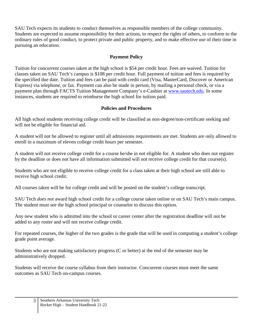SAU Tech expects its students to conduct themselves as responsible members of the college community. Students are expected to assume responsibility for their actions, to respect the rights of others, to conform to the ordinary rules of good conduct, to protect private and public property, and to make effective use of their time in pursuing an education.

#### **Payment Policy**

Tuition for concurrent courses taken at the high school is \$54 per credit hour. Fees are waived. Tuition for classes taken on SAU Tech's campus is \$108 per credit hour. Full payment of tuition and fees is required by the specified due date. Tuition and fees can be paid with credit card (Visa, MasterCard, Discover or American Express) via telephone, or fax. Payment can also be made in person, by mailing a personal check, or via a payment plan through FACTS Tuition Management Company's e-Cashier at [www.sautech.edu. I](http://www.sautech.edu/)n some instances, students are required to reimburse the high school for tuition paid.

#### **Policies and Procedures**

All high school students receiving college credit will be classified as non-degree/non-certificate seeking and will not be eligible for financial aid.

A student will not be allowed to register until all admissions requirements are met. Students are only allowed to enroll in a maximum of eleven college credit hours per semester.

A student will not receive college credit for a course he/she in not eligible for. A student who does not register by the deadline or does not have all information submitted will not receive college credit for that course(s).

Students who are not eligible to receive college credit for a class taken at their high school are still able to receive high school credit.

All courses taken will be for college credit and will be posted on the student's college transcript.

SAU Tech *does not* award high school credit for a college course taken online or on SAU Tech's main campus. The student must see the high school principal or counselor to discuss this option.

Any new student who is admitted into the school or career center after the registration deadline will not be added to any roster and will not receive college credit.

For repeated courses, the higher of the two grades is the grade that will be used in computing a student's college grade point average.

Students who are not making satisfactory progress (C or better) at the end of the semester may be administratively dropped.

Students will receive the course syllabus from their instructor. Concurrent courses must meet the same outcomes as SAU Tech on-campus courses.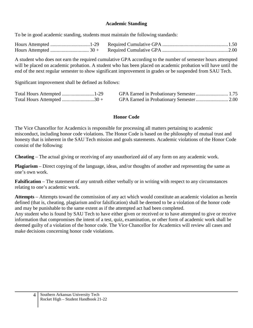#### **Academic Standing**

To be in good academic standing, students must maintain the following standards:

A student who does not earn the required cumulative GPA according to the number of semester hours attempted will be placed on academic probation. A student who has been placed on academic probation will have until the end of the next regular semester to show significant improvement in grades or be suspended from SAU Tech.

Significant improvement shall be defined as follows:

| Total Hours Attempted 30 + |  |
|----------------------------|--|

#### **Honor Code**

The Vice Chancellor for Academics is responsible for processing all matters pertaining to academic misconduct, including honor code violations. The Honor Code is based on the philosophy of mutual trust and honesty that is inherent in the SAU Tech mission and goals statements. Academic violations of the Honor Code consist of the following:

**Cheating** – The actual giving or receiving of any unauthorized aid of any form on any academic work.

**Plagiarism** – Direct copying of the language, ideas, and/or thoughts of another and representing the same as one's own work.

**Falsification** – The statement of any untruth either verbally or in writing with respect to any circumstances relating to one's academic work.

**Attempts** – Attempts toward the commission of any act which would constitute an academic violation as herein defined (that is, cheating, plagiarism and/or falsification) shall be deemed to be a violation of the honor code and may be punishable to the same extent as if the attempted act had been completed.

Any student who is found by SAU Tech to have either given or received or to have attempted to give or receive information that compromises the intent of a test, quiz, examination, or other form of academic work shall be deemed guilty of a violation of the honor code. The Vice Chancellor for Academics will review all cases and make decisions concerning honor code violations.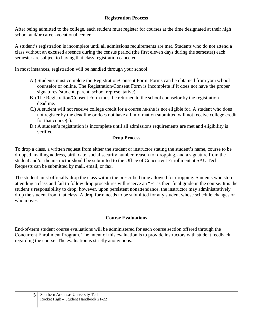After being admitted to the college, each student must register for courses at the time designated at their high school and/or career-vocational center.

A student's registration is incomplete until all admissions requirements are met. Students who do not attend a class without an excused absence during the census period (the first eleven days during the semester) each semester are subject to having that class registration canceled.

In most instances, registration will be handled through your school.

- A.) Students must complete the Registration/Consent Form. Forms can be obtained from your school counselor or online. The Registration/Consent Form is incomplete if it does not have the proper signatures (student, parent, school representative).
- B.) The Registration/Consent Form must be returned to the school counselor by the registration deadline.
- C.) A student will not receive college credit for a course he/she is not eligible for. A student who does not register by the deadline or does not have all information submitted will not receive college credit for that course(s).
- D.) A student's registration is incomplete until all admissions requirements are met and eligibility is verified.

#### **Drop Process**

To drop a class, a written request from either the student or instructor stating the student's name, course to be dropped, mailing address, birth date, social security number, reason for dropping, and a signature from the student and/or the instructor should be submitted to the Office of Concurrent Enrollment at SAU Tech. Requests can be submitted by mail, email, or fax.

The student must officially drop the class within the prescribed time allowed for dropping. Students who stop attending a class and fail to follow drop procedures will receive an "F" as their final grade in the course. It is the student's responsibility to drop; however, upon persistent nonattendance, the instructor may administratively drop the student from that class. A drop form needs to be submitted for any student whose schedule changes or who moves.

#### **Course Evaluations**

End-of-term student course evaluations will be administered for each course section offered through the Concurrent Enrollment Program. The intent of this evaluation is to provide instructors with student feedback regarding the course. The evaluation is strictly anonymous.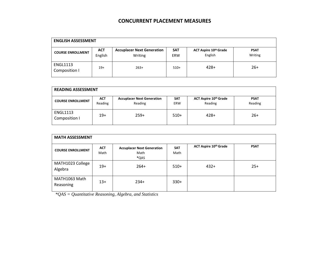#### **CONCURRENT PLACEMENT MEASURES**

| <b>ENGLISH ASSESSMENT</b>        |                       |                                              |                          |                                  |                        |
|----------------------------------|-----------------------|----------------------------------------------|--------------------------|----------------------------------|------------------------|
| <b>COURSE ENROLLMENT</b>         | <b>ACT</b><br>English | <b>Accuplacer Next Generation</b><br>Writing | <b>SAT</b><br><b>ERW</b> | ACT Aspire 10th Grade<br>English | <b>PSAT</b><br>Writing |
| <b>ENGL1113</b><br>Composition I | $19+$                 | $263+$                                       | $510+$                   | $428+$                           | $26+$                  |

| <b>READING ASSESSMENT</b>        |                       |                                              |                          |                                  |                        |
|----------------------------------|-----------------------|----------------------------------------------|--------------------------|----------------------------------|------------------------|
| <b>COURSE ENROLLMENT</b>         | <b>ACT</b><br>Reading | <b>Accuplacer Next Generation</b><br>Reading | <b>SAT</b><br><b>ERW</b> | ACT Aspire 10th Grade<br>Reading | <b>PSAT</b><br>Reading |
| <b>ENGL1113</b><br>Composition I | $19+$                 | $259+$                                       | $510+$                   | $428+$                           | $26+$                  |

| <b>MATH ASSESSMENT</b>      |                    |                                                   |                    |                       |             |
|-----------------------------|--------------------|---------------------------------------------------|--------------------|-----------------------|-------------|
| <b>COURSE ENROLLMENT</b>    | <b>ACT</b><br>Math | <b>Accuplacer Next Generation</b><br>Math<br>*QAS | <b>SAT</b><br>Math | ACT Aspire 10th Grade | <b>PSAT</b> |
| MATH1023 College<br>Algebra | $19+$              | $264+$                                            | $510+$             | $432+$                | $25+$       |
| MATH1063 Math<br>Reasoning  | $13+$              | $234+$                                            | $330+$             |                       |             |

*\*QAS = Quantitative Reasoning, Algebra, and Statistics*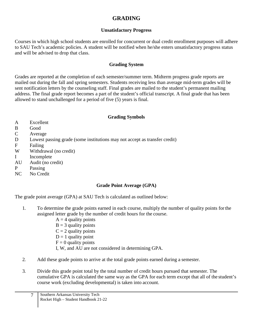#### **GRADING**

#### **Unsatisfactory Progress**

<span id="page-7-0"></span>Courses in which high school students are enrolled for concurrent or dual credit enrollment purposes will adhere to SAU Tech's academic policies. A student will be notified when he/she enters unsatisfactory progress status and will be advised to drop that class.

#### **Grading System**

Grades are reported at the completion of each semester/summer term. Midterm progress grade reports are mailed out during the fall and spring semesters. Students receiving less than average mid-term grades will be sent notification letters by the counseling staff. Final grades are mailed to the student's permanent mailing address. The final grade report becomes a part of the student's official transcript. A final grade that has been allowed to stand unchallenged for a period of five (5) years is final.

#### **Grading Symbols**

- A Excellent
- B Good
- C Average
- D Lowest passing grade (some institutions may not accept as transfer credit)
- F Failing
- W Withdrawal (no credit)
- I Incomplete
- AU Audit (no credit)
- P Passing
- NC No Credit

#### **Grade Point Average (GPA)**

The grade point average (GPA) at SAU Tech is calculated as outlined below:

- 1. To determine the grade points earned in each course, multiply the number of quality points for the assigned letter grade by the number of credit hours for the course.
	- $A = 4$  quality points
	- $B = 3$  quality points
	- $C = 2$  quality points
	- $D = 1$  quality point
	- $F = 0$  quality points
	- I, W, and AU are not considered in determining GPA.
- 2. Add these grade points to arrive at the total grade points earned during a semester.
- 3. Divide this grade point total by the total number of credit hours pursued that semester. The cumulative GPA is calculated the same way as the GPA for each term except that all of the student's course work (excluding developmental) is taken into account.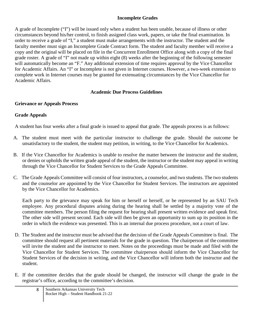#### **Incomplete Grades**

A grade of Incomplete ("I") will be issued only when a student has been unable, because of illness or other circumstances beyond his/her control, to finish assigned class work, papers, or take the final examination. In order to receive a grade of "I," a student must make arrangements with the instructor. The student and the faculty member must sign an Incomplete Grade Contract form. The student and faculty member will receive a copy and the original will be placed on file in the Concurrent Enrollment Office along with a copy of the final grade roster. A grade of "I" not made up within eight (8) weeks after the beginning of the following semester will automatically become an "F." Any additional extension of time requires approval by the Vice Chancellor for Academic Affairs. An "I" or Incomplete is not given in Internet courses. However, a two-week extension to complete work in Internet courses may be granted for extenuating circumstances by the Vice Chancellor for Academic Affairs.

#### **Academic Due Process Guidelines**

#### <span id="page-8-0"></span>**Grievance or Appeals Process**

#### **Grade Appeals**

A student has four weeks after a final grade is issued to appeal that grade. The appeals process is as follows:

- A. The student must meet with the particular instructor to challenge the grade. Should the outcome be unsatisfactory to the student, the student may petition, in writing, to the Vice Chancellor for Academics.
- B. If the Vice Chancellor for Academics is unable to resolve the matter between the instructor and the student, or denies or upholds the written grade appeal of the student, the instructor or the student may appeal in writing through the Vice Chancellor for Student Services to the Grade Appeals Committee.
- C. The Grade Appeals Committee will consist of four instructors, a counselor, and two students. The two students and the counselor are appointed by the Vice Chancellor for Student Services. The instructors are appointed by the Vice Chancellor for Academics.

Each party to the grievance may speak for him or herself or herself, or be represented by an SAU Tech employee. Any procedural disputes arising during the hearing shall be settled by a majority vote of the committee members. The person filing the request for hearing shall present written evidence and speak first. The other side will present second. Each side will then be given an opportunity to sum up its position in the order in which the evidence was presented. This is an internal due process procedure, not a court of law.

- D. The Student and the instructor must be advised that the decision of the Grade Appeals Committee is final. The committee should request all pertinent materials for the grade in question. The chairperson of the committee will invite the student and the instructor to meet. Notes on the proceedings must be made and filed with the Vice Chancellor for Student Services. The committee chairperson should inform the Vice Chancellor for Student Services of the decision in writing, and the Vice Chancellor will inform both the instructor and the student.
- E. If the committee decides that the grade should be changed, the instructor will change the grade in the registrar's office, according to the committee's decision.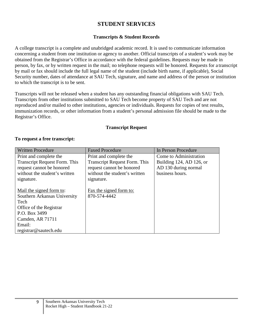#### **STUDENT SERVICES**

#### **Transcripts & Student Records**

<span id="page-9-0"></span>A college transcript is a complete and unabridged academic record. It is used to communicate information concerning a student from one institution or agency to another. Official transcripts of a student's work may be obtained from the Registrar's Office in accordance with the federal guidelines. Requests may be made in person, by fax, or by written request in the mail; no telephone requests will be honored. Requests for a transcript by mail or fax should include the full legal name of the student (include birth name, if applicable), Social Security number, dates of attendance at SAU Tech, signature, and name and address of the person or institution to which the transcript is to be sent.

Transcripts will not be released when a student has any outstanding financial obligations with SAU Tech. Transcripts from other institutions submitted to SAU Tech become property of SAU Tech and are not reproduced and/or mailed to other institutions, agencies or individuals. Requests for copies of test results, immunization records, or other information from a student's personal admission file should be made to the Registrar's Office.

#### **Transcript Request**

#### **To request a free transcript:**

| <b>Written Procedure</b>             | <b>Faxed Procedure</b>               | In Person Procedure      |
|--------------------------------------|--------------------------------------|--------------------------|
| Print and complete the               | Print and complete the               | Come to Administration   |
| <b>Transcript Request Form. This</b> | <b>Transcript Request Form. This</b> | Building 124, AD 126, or |
| request cannot be honored            | request cannot be honored            | AD 130 during normal     |
| without the student's written        | without the student's written        | business hours.          |
| signature.                           | signature.                           |                          |
|                                      |                                      |                          |
| Mail the signed form to:             | Fax the signed form to:              |                          |
| Southern Arkansas University         | 870-574-4442                         |                          |
| Tech                                 |                                      |                          |
| Office of the Registrar              |                                      |                          |
| P.O. Box 3499                        |                                      |                          |
| Camden, AR 71711                     |                                      |                          |
| Email:                               |                                      |                          |
| registrar@sautech.edu                |                                      |                          |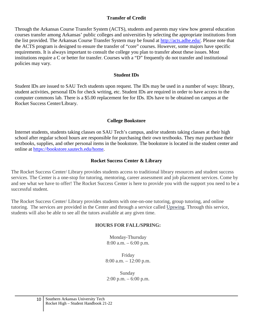#### **Transfer of Credit**

Through the Arkansas Course Transfer System (ACTS), students and parents may view how general education courses transfer among Arkansas' public colleges and universities by selecting the appropriate institutions from the list provided. The Arkansas Course Transfer System may be found at [http://acts.adhe.edu/.](http://acts.adhe.edu/) Please note that the ACTS program is designed to ensure the transfer of "core" courses. However, some majors have specific requirements. It is always important to consult the college you plan to transfer about these issues. Most institutions require a C or better for transfer. Courses with a "D" frequently do not transfer and institutional policies may vary.

#### **Student IDs**

Student IDs are issued to SAU Tech students upon request. The IDs may be used in a number of ways: library, student activities, personal IDs for check writing, etc. Student IDs are required in order to have access to the computer commons lab. There is a \$5.00 replacement fee for IDs. IDs have to be obtained on campus at the Rocket Success Center/Library.

#### **College Bookstore**

Internet students, students taking classes on SAU Tech's campus, and/or students taking classes at their high school after regular school hours are responsible for purchasing their own textbooks. They may purchase their textbooks, supplies, and other personal items in the bookstore. The bookstore is located in the student center and online [at](http://sautech.textbooktech.com/) [https://bookstore.sautech.edu/home.](https://bookstore.sautech.edu/home)

#### **Rocket Success Center & Library**

The Rocket Success Center/ Library provides students access to traditional library resources and student success services. The Center is a one-stop for tutoring, mentoring, career assessment and job placement services. Come by and see what we have to offer! The Rocket Success Center is here to provide you with the support you need to be a successful student.

The Rocket Success Center/ Library provides students with one-on-one tutoring, group tutoring, and online tutoring. The services are provided in the Center and through a service called [Upswing.](http://sautech.upswing.io/) Through this service, students will also be able to see all the tutors available at any given time.

#### **HOURS FOR FALL/SPRING:**

Monday-Thursday 8:00 a.m. – 6:00 p.m.

Friday 8:00 a.m. – 12:00 p.m.

Sunday  $2:00 \text{ p.m.} - 6:00 \text{ p.m.}$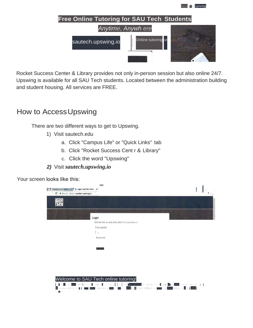

Rocket Success Center & Library provides not only in-person session but also online 24/7. Upswing is available for all SAU Tech students. Located between the administration building and student housing. All services are FREE.

## How to Access Upswing

There are two different ways to get to Upswing.

- 1) Visit sautech.edu
	- a. Click "Campus Life" or "Quick Links" tab
	- b. Click "Rocket Success Cent r & Library"
	- c. Click the word "Upswing"
- 2) Visit sautech.upswing.io

Your screen looks like this:

| T Rocket Success Center<br>C   B Secure   https://sautech.upswing.io | Ly Login   SAU Tech Online                                                                                                                                                                                                                                                                                                                                                                                                                                                                                                                                                                                                                                                                                                                                                    |                                                                                                                         |
|----------------------------------------------------------------------|-------------------------------------------------------------------------------------------------------------------------------------------------------------------------------------------------------------------------------------------------------------------------------------------------------------------------------------------------------------------------------------------------------------------------------------------------------------------------------------------------------------------------------------------------------------------------------------------------------------------------------------------------------------------------------------------------------------------------------------------------------------------------------|-------------------------------------------------------------------------------------------------------------------------|
|                                                                      |                                                                                                                                                                                                                                                                                                                                                                                                                                                                                                                                                                                                                                                                                                                                                                               |                                                                                                                         |
|                                                                      | Login<br>PIN S41 IOI In wich YOUt SAU T.c h cr.d In11.i 1.                                                                                                                                                                                                                                                                                                                                                                                                                                                                                                                                                                                                                                                                                                                    |                                                                                                                         |
|                                                                      | Use, name                                                                                                                                                                                                                                                                                                                                                                                                                                                                                                                                                                                                                                                                                                                                                                     |                                                                                                                         |
|                                                                      | Password                                                                                                                                                                                                                                                                                                                                                                                                                                                                                                                                                                                                                                                                                                                                                                      |                                                                                                                         |
|                                                                      |                                                                                                                                                                                                                                                                                                                                                                                                                                                                                                                                                                                                                                                                                                                                                                               |                                                                                                                         |
|                                                                      |                                                                                                                                                                                                                                                                                                                                                                                                                                                                                                                                                                                                                                                                                                                                                                               |                                                                                                                         |
|                                                                      | Welcome to SAU Tech online tutoring!<br>$z=1,\ldots,\left[\frac{1}{2},\frac{1}{2}\right] \text{ for the given is }\sqrt{1114}z, \text{ by } \frac{1}{2!} \text{ at } \left[ \frac{1}{2!}\ln\frac{1}{2!} \right] \text{ and } \text{ with } \ln\ln\frac{1}{2!} \text{ and } \frac{1}{2!} \text{ is } 1 \text{ and } \frac{1}{2!} \text{ is } 1 \text{.}$<br>$\left  \mathbf{J} \right $ , 1, 1, 1, 1, 1, $\left  \mathbf{J} \right $ , $\left  \mathbf{J} \right $ , $\left  \mathbf{J} \right $ , $\left  \mathbf{J} \right $ , $\left  \mathbf{J} \right $ , $\left  \mathbf{J} \right $ , $\left  \mathbf{J} \right $ , $\left  \mathbf{J} \right $ , $\left  \mathbf{J} \right $ , $\left  \mathbf{J} \right $ , $\left  \mathbf{J} \right $ , $\left  \mathbf{J} \right $ |                                                                                                                         |
| W-<br>$+1.11$                                                        |                                                                                                                                                                                                                                                                                                                                                                                                                                                                                                                                                                                                                                                                                                                                                                               | .<br>ill,  lll+  , :l,.r:-⊶Jll∘,∘r ∖-_-a, • Ati_l,∘, l•l ••,: <mark>.1111,,l , o ,lrl ·</mark> tl+ <mark>1,1,11:</mark> |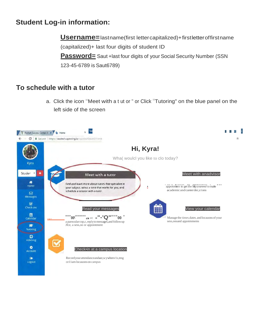## **Student Log-in information:**

**Username** = lastname(first letter capitalized) + first letter of firstname (capitalized)+ last four digits of student ID **Password** = Saut +last four digits of your Social Security Number (SSN 123-45-6789 is Saut6789)

### To schedule with a tutor

a. Click the icon "Meet with a t ut or " or Click "Tutoring" on the blue panel on the left side of the screen

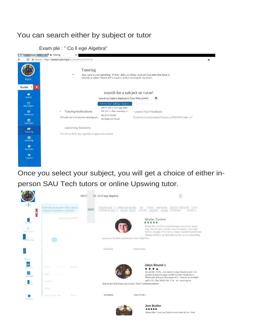## You can search either by subject or tutor

Exam ple : " Co II ege Algebra"



Once you select your subject, you will get a choice of either inperson SAU Tech tutors or online Upswing tutor.





Jon Butler About Me-: Lam .an Enelish turor here at Sau Tectl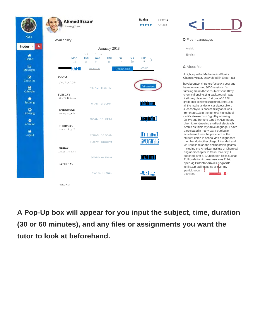|                                              | Ra ting<br><b>Status</b><br><b>Ahmed Essam</b><br>Of!hne<br>.<br><b>Upswing Tutor</b>                                                                                                                           |                                                                                                                                                                                    |
|----------------------------------------------|-----------------------------------------------------------------------------------------------------------------------------------------------------------------------------------------------------------------|------------------------------------------------------------------------------------------------------------------------------------------------------------------------------------|
| Kyra                                         | $\Omega$<br>Avallabllity                                                                                                                                                                                        | Q FluentLanguages                                                                                                                                                                  |
| Studer <b>v</b>                              | January 2018                                                                                                                                                                                                    | Arabic                                                                                                                                                                             |
| ₩<br>Home                                    | $\mathbb{E}_{\mathcal{A}}$ , $\mathbb{E}_{\mathcal{A}}$<br>$\sim 10^{-1}$ . The mass $\alpha$<br>Man<br>Tue<br>Thu<br>Sun<br>Wed<br>Fri<br>So t<br>21<br>15<br>$\mathbf{p}$<br>19<br>i <sub>o</sub><br>16<br>18 | English                                                                                                                                                                            |
| ⊠<br><b>Messages</b>                         | Grc,up<br><b>!thHII</b><br>In-person<br>One-on-One                                                                                                                                                              | & About Me                                                                                                                                                                         |
| $\overline{\mathbf{S}}$<br>Check-ins         | <b>TODAY</b>                                                                                                                                                                                                    | AhighlyqualifiedMathen<br>ChemistryTutor, andWeb                                                                                                                                   |
| 曲<br>Calendar<br>洁<br>Tutoring               | ;.1r-.,t1i: $_3$ 1.2. $\bullet$ ) &<br>Select a tim<br>7 00 AM - 11 30 PM<br><b>TUESDAY</b><br>an, 1 • •; ' 10 : J1C.<br><b><i><u>MARE HIMI</u></i></b><br>7 00 AM 11 30 PM                                     | havebeenworkingthere<br>havedonearound 3000;<br>tutoringmainlythose3s<br>chemical engine'1Ing ba<br>firstln my classfrom 1st<br>grade andl achieved 10g<br>all the maths andscienc |
| $\bullet$<br>Advising<br>۰<br><b>Account</b> | <b>WEDNESDX</b><br>1, w t1 J1:) $17$ , $\cdot$ Ol!<br><b>T# Than</b><br>700AM 1130PM                                                                                                                            | suchasphysICs andcher<br>fromthetop1%In the ge<br>certificate exams In Egy<br>98 5% and from the top<br>chemicaengneering str                                                      |
| $\bullet$<br>Logout                          | <b>THURSDAY</b><br>j Oʻ:u Jl / t $S$ 2_(j $I$ $S$<br><u>IfJ'Jlill/uI</u><br>700AM 10 JOAM<br>ii#Ufilfrki<br>600PM-1000PM                                                                                        | Arabic as thisis mynau<br>participatedin many ex<br>activitiesas I was the pr<br>student union In schoo<br>member duringthecolle                                                   |
|                                              | <b>FRIDAY</b><br>J.lr.,,; :-1 1'9 ;:Oi S<br>11¥.11ein II<br>600PM · 930PM                                                                                                                                       | led 4public relaaons an<br>Including the American<br>engineerschapter In Ca<br>coached over a 100ual<br>PubicrelationsHuman                                                        |
|                                              | <b>SATURDAY</b><br>$\textit{4l}::, l_{i};,l_{i}}$<br>7 00 AM 11 30PM<br>$C't 1 a.t f' \$ AV                                                                                                                     | speakig.Preentationsk<br>skills. Od callingand sa<br>participaoon in<br>activities                                                                                                 |

out Me qualifiedMathematics Physics. stryTutor, andWebAsSIIIn Expert asl enworkingtherefor over a year and onearound 3000 sessions. I'm gmainlythose3subjectsdue10my al engine'1 Ing background. I was ny classfrom 1st grade10 12th ndl achieved 10 getthe fullmar1cin maths andsciencer-elatedsubjeru physICs andchemistry andI was etop1%In the general highschool ate exams In Egypt by achieving and from the top 1S'M>During my caengneering studies I alsoteach as thisis mynauvelanguage. I have patedin many extra-curricular esas I was the president of the t union In school and a highboard er duringthecollege, I founded and ublic relaaons andfundralsingteams ng the American Institute of Chemical erschapter In CairoUniversity. I ed over a 100ualneeln fields suchas elationsHumarresources.Public ig.Preentationskills.negotiath Od callingand sales o<mark>ver my</mark>

*N* •: *L.* #Om!! , . 1r, ?

A Pop-Up box will appear for you input the subject, time, duration (30 or 60 minutes), and any files or assignments you want the tutor to look at beforehand.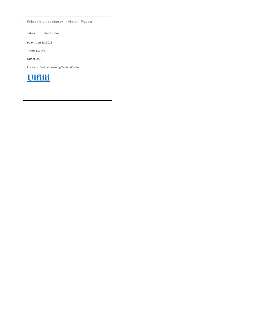Schedule a session with Ahmed Essam

**Subje ct:** Subject -,rea•

**oa t• :** Jan 1s.<sup>2018</sup>

**Time:** 4:00 PM

Dur at ion :

Location : Virtual LearningCenter (Online)

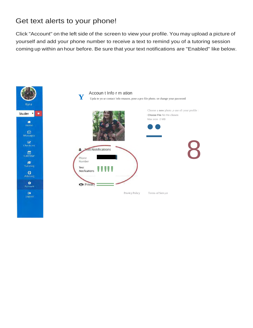## Get text alerts to your phone!

Click "Account" on the left side of the screen to view your profile. You may upload a picture of yourself and add your phone number to receive a text to remind you of a tutoring session coming up within an hour before. Be sure that your text notifications are "Enabled" like below.

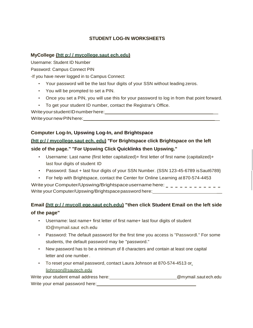#### **STUDENT LOG-IN WORKSHEETS**

#### **MyCollege {htt p:/ / mycollege.saut ech.edu)**

Username: Student ID Number

Password: Campus Connect PIN

-If you have never logged in to Campus Connect:

- Your password will be the last four digits of your SSN without leading zeros.
- You will be prompted to set a PIN.
- Once you set a PIN, you will use this for your password to log in from that point forward.
- To get your student ID number, contact the Registrar's Office.

Write your student ID number here:

Write your new PIN here: **we have all that** 

#### **Computer Log-In, Upswing Log-In, and Brightspace**

#### **(htt p:/ / mycollege.saut ech. edu) "For Brightspace click Brightspace on the left**

#### **side of the page." "For Upswing Click Quicklinks then Upswing."**

- Username: Last name (first letter capitalized)+ first letter of first name (capitalized)+ last four digits of student ID
- Password: Saut + last four digits of your SSN Number. (SSN 123-45-6789 is Saut6789}
- For help with Brightspace, contact the Center for Online Learning at 870-574-4453

Write your Computer/Upswing/Brightspace username here:  $\underline{\hspace{0.3cm}}$   $\underline{\hspace{0.3cm}}$   $\overline{\hspace{0.3cm}}$  Write your Computer/Upswing/Brightspace password here:  $\underline{\hspace{0.3cm}}$ 

#### **Email (htt p:/ / mycoll ege.saut ech.edu) "then click Student Email on the left side of the page"**

- Username: last name+ first letter of first name+ last four digits of student [ID@mymail.saut](mailto:ID@mymail.saut) ech.edu
- Password: The default password for the first time you access is "Passwordl." For some students, the default password may be "password."
- New password has to be a minimum of 8 characters and contain at least one capital letter and one number .
- To reset your email password, contact Laura Johnson at 870-574-4513 or [ljohnson@sautech.edu](mailto:ljohnson@sautech.edu)

Write your student email address here: \_\_\_\_\_\_\_\_\_\_\_\_\_\_\_\_\_\_\_\_\_\_\_\_\_\_\_\_\_\_@mymail.saut ech.edu Write your email password here: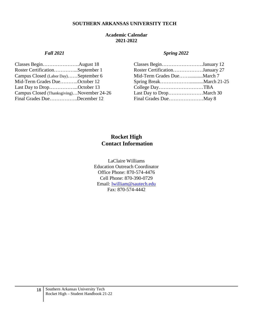#### **SOUTHERN ARKANSAS UNIVERSITY TECH**

#### **Academic Calendar 2021-2022**

| Classes BeginAugust 18                     | Classes BeginJanuary 12        |  |
|--------------------------------------------|--------------------------------|--|
| Roster CertificationSeptember 1            | Roster CertificationJanuary 27 |  |
| Campus Closed (Labor Day)September 6       |                                |  |
| Mid-Term Grades DueOctober 12              |                                |  |
| Last Day to DropOctober 13                 |                                |  |
| Campus Closed (Thanksgiving)November 24-26 |                                |  |
| Final Grades DueDecember 12                |                                |  |

#### *Fall 2021 Spring 2022*

| Classes BeginJanuary 12        |  |
|--------------------------------|--|
| Roster CertificationJanuary 27 |  |
| Mid-Term Grades DueMarch 7     |  |
|                                |  |
| College DayTBA                 |  |
|                                |  |
| Final Grades DueMay 8          |  |
|                                |  |

#### **Rocket High Contact Information**

LaClaire Williams Education Outreach Coordinator Office Phone: 870-574-4476 Cell Phone: 870-390-0729 Email: [lwilliam@sautech.edu](mailto:lwilliam@sautech.edu) Fax: 870-574-4442